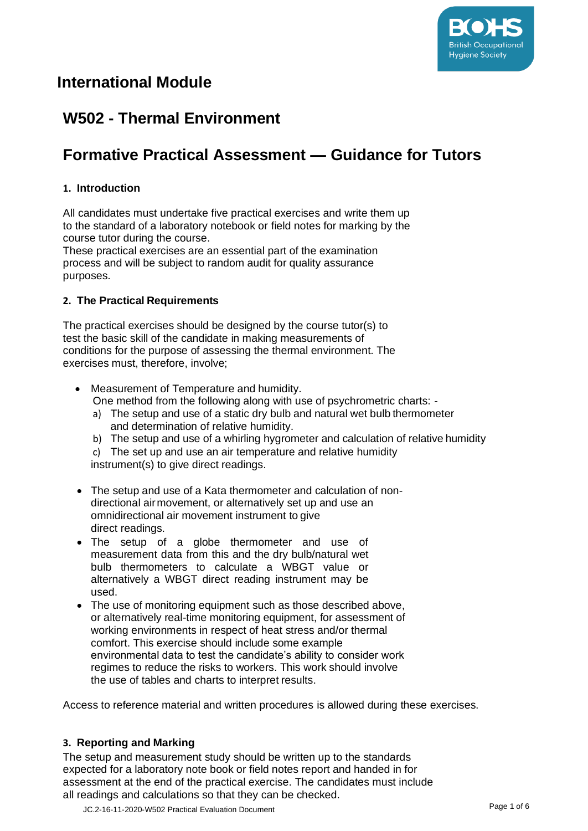

## **International Module**

## **W502 - Thermal Environment**

# **Formative Practical Assessment — Guidance for Tutors**

#### **1. Introduction**

All candidates must undertake five practical exercises and write them up to the standard of a laboratory notebook or field notes for marking by the course tutor during the course.

These practical exercises are an essential part of the examination process and will be subject to random audit for quality assurance purposes.

#### **2. The Practical Requirements**

The practical exercises should be designed by the course tutor(s) to test the basic skill of the candidate in making measurements of conditions for the purpose of assessing the thermal environment. The exercises must, therefore, involve;

- Measurement of Temperature and humidity. One method from the following along with use of psychrometric charts:
	- a) The setup and use of a static dry bulb and natural wet bulb thermometer and determination of relative humidity.
	- b) The setup and use of a whirling hygrometer and calculation of relative humidity

c) The set up and use an air temperature and relative humidity instrument(s) to give direct readings.

- The setup and use of a Kata thermometer and calculation of nondirectional airmovement, or alternatively set up and use an omnidirectional air movement instrument to give direct readings.
- The setup of a globe thermometer and use of measurement data from this and the dry bulb/natural wet bulb thermometers to calculate a WBGT value or alternatively a WBGT direct reading instrument may be used.
- The use of monitoring equipment such as those described above, or alternatively real-time monitoring equipment, for assessment of working environments in respect of heat stress and/or thermal comfort. This exercise should include some example environmental data to test the candidate's ability to consider work regimes to reduce the risks to workers. This work should involve the use of tables and charts to interpret results.

Access to reference material and written procedures is allowed during these exercises.

#### **3. Reporting and Marking**

The setup and measurement study should be written up to the standards expected for a laboratory note book or field notes report and handed in for assessment at the end of the practical exercise. The candidates must include all readings and calculations so that they can be checked.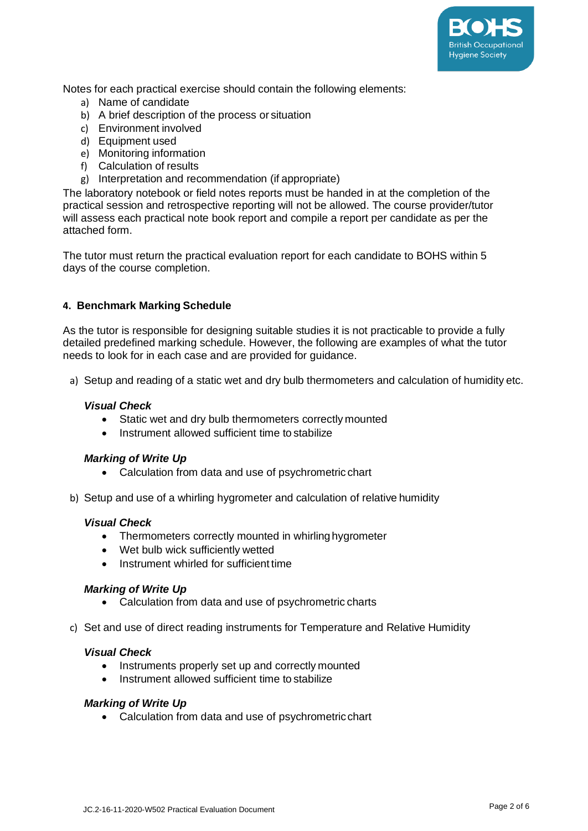

Notes for each practical exercise should contain the following elements:

- a) Name of candidate
- b) A brief description of the process or situation
- c) Environment involved
- d) Equipment used
- e) Monitoring information
- f) Calculation of results
- g) Interpretation and recommendation (if appropriate)

The laboratory notebook or field notes reports must be handed in at the completion of the practical session and retrospective reporting will not be allowed. The course provider/tutor will assess each practical note book report and compile a report per candidate as per the attached form.

The tutor must return the practical evaluation report for each candidate to BOHS within 5 days of the course completion.

#### **4. Benchmark Marking Schedule**

As the tutor is responsible for designing suitable studies it is not practicable to provide a fully detailed predefined marking schedule. However, the following are examples of what the tutor needs to look for in each case and are provided for guidance.

a) Setup and reading of a static wet and dry bulb thermometers and calculation of humidity etc.

#### *Visual Check*

- Static wet and dry bulb thermometers correctly mounted
- Instrument allowed sufficient time to stabilize

#### *Marking of Write Up*

- Calculation from data and use of psychrometric chart
- b) Setup and use of a whirling hygrometer and calculation of relative humidity

#### *Visual Check*

- Thermometers correctly mounted in whirling hygrometer
- Wet bulb wick sufficiently wetted
- Instrument whirled for sufficient time

#### *Marking of Write Up*

- Calculation from data and use of psychrometric charts
- c) Set and use of direct reading instruments for Temperature and Relative Humidity

#### *Visual Check*

- Instruments properly set up and correctly mounted
- Instrument allowed sufficient time to stabilize

#### *Marking of Write Up*

• Calculation from data and use of psychrometricchart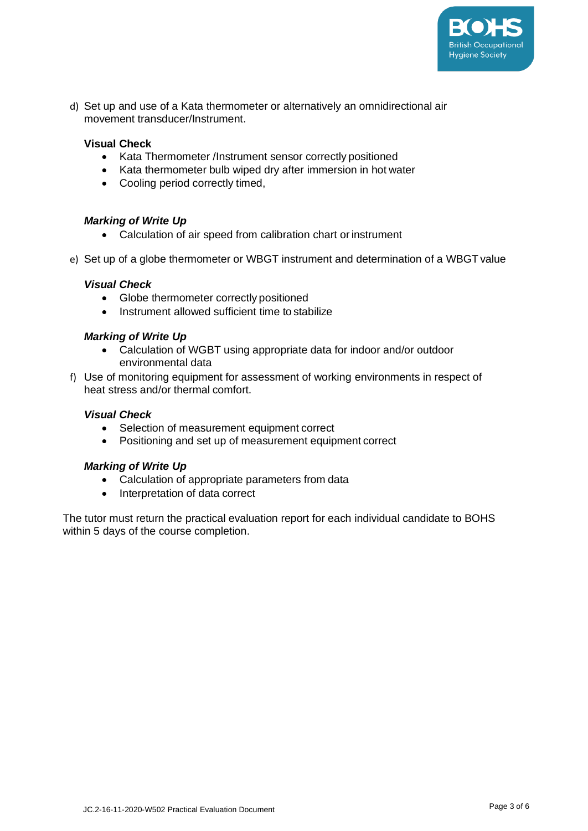

d) Set up and use of a Kata thermometer or alternatively an omnidirectional air movement transducer/Instrument.

#### **Visual Check**

- Kata Thermometer /Instrument sensor correctly positioned
- Kata thermometer bulb wiped dry after immersion in hot water
- Cooling period correctly timed,

#### *Marking of Write Up*

- Calculation of air speed from calibration chart or instrument
- e) Set up of a globe thermometer or WBGT instrument and determination of a WBGT value

#### *Visual Check*

- Globe thermometer correctly positioned
- Instrument allowed sufficient time to stabilize

#### *Marking of Write Up*

- Calculation of WGBT using appropriate data for indoor and/or outdoor environmental data
- f) Use of monitoring equipment for assessment of working environments in respect of heat stress and/or thermal comfort.

#### *Visual Check*

- Selection of measurement equipment correct
- Positioning and set up of measurement equipment correct

#### *Marking of Write Up*

- Calculation of appropriate parameters from data
- Interpretation of data correct

The tutor must return the practical evaluation report for each individual candidate to BOHS within 5 days of the course completion.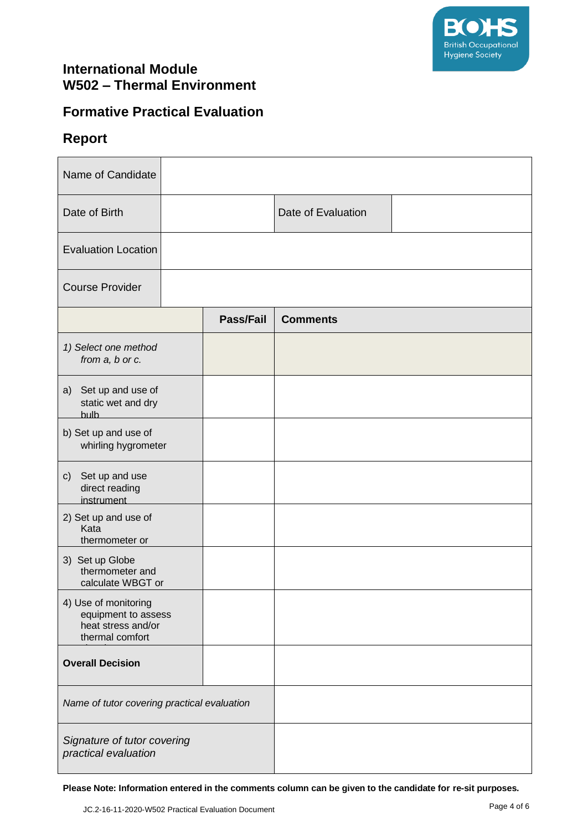

### **International Module W502 – Thermal Environment**

### **Formative Practical Evaluation**

### **Report**

| Name of Candidate                                                                    |  |                  |                    |  |
|--------------------------------------------------------------------------------------|--|------------------|--------------------|--|
| Date of Birth                                                                        |  |                  | Date of Evaluation |  |
| <b>Evaluation Location</b>                                                           |  |                  |                    |  |
| <b>Course Provider</b>                                                               |  |                  |                    |  |
|                                                                                      |  | <b>Pass/Fail</b> | <b>Comments</b>    |  |
| 1) Select one method<br>from a, b or c.                                              |  |                  |                    |  |
| a) Set up and use of<br>static wet and dry<br><b>bulb</b>                            |  |                  |                    |  |
| b) Set up and use of<br>whirling hygrometer                                          |  |                  |                    |  |
| Set up and use<br>$\mathsf{c})$<br>direct reading<br>instrument                      |  |                  |                    |  |
| 2) Set up and use of<br>Kata<br>thermometer or                                       |  |                  |                    |  |
| 3) Set up Globe<br>thermometer and<br>calculate WBGT or                              |  |                  |                    |  |
| 4) Use of monitoring<br>equipment to assess<br>heat stress and/or<br>thermal comfort |  |                  |                    |  |
| <b>Overall Decision</b>                                                              |  |                  |                    |  |
| Name of tutor covering practical evaluation                                          |  |                  |                    |  |
| Signature of tutor covering<br>practical evaluation                                  |  |                  |                    |  |

**Please Note: Information entered in the comments column can be given to the candidate for re-sit purposes.**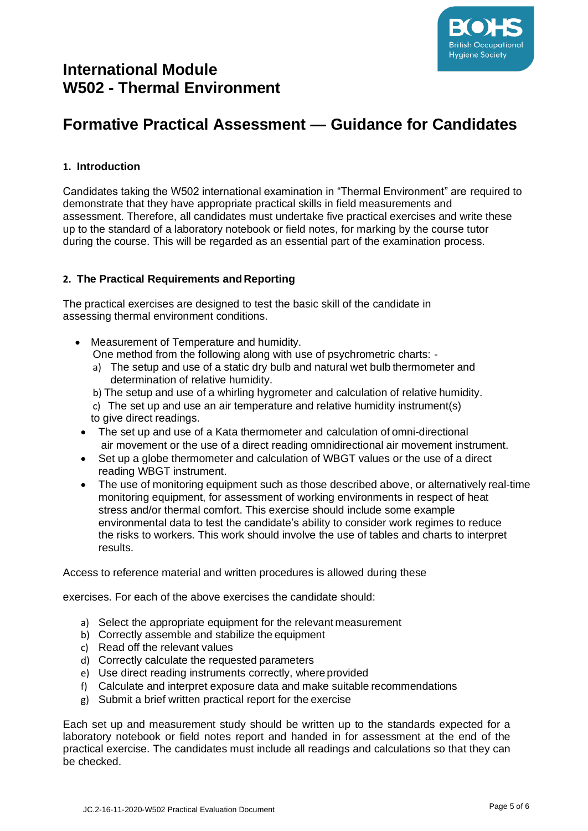

### **International Module W502 - Thermal Environment**

# **Formative Practical Assessment — Guidance for Candidates**

#### **1. Introduction**

Candidates taking the W502 international examination in "Thermal Environment" are required to demonstrate that they have appropriate practical skills in field measurements and assessment. Therefore, all candidates must undertake five practical exercises and write these up to the standard of a laboratory notebook or field notes, for marking by the course tutor during the course. This will be regarded as an essential part of the examination process.

#### **2. The Practical Requirements and Reporting**

The practical exercises are designed to test the basic skill of the candidate in assessing thermal environment conditions.

- Measurement of Temperature and humidity. One method from the following along with use of psychrometric charts:
	- a) The setup and use of a static dry bulb and natural wet bulb thermometer and determination of relative humidity.
	- b) The setup and use of a whirling hygrometer and calculation of relative humidity.
	- c) The set up and use an air temperature and relative humidity instrument(s) to give direct readings.
- The set up and use of a Kata thermometer and calculation of omni-directional air movement or the use of a direct reading omnidirectional air movement instrument.
- Set up a globe thermometer and calculation of WBGT values or the use of a direct reading WBGT instrument.
- The use of monitoring equipment such as those described above, or alternatively real-time monitoring equipment, for assessment of working environments in respect of heat stress and/or thermal comfort. This exercise should include some example environmental data to test the candidate's ability to consider work regimes to reduce the risks to workers. This work should involve the use of tables and charts to interpret results.

Access to reference material and written procedures is allowed during these

exercises. For each of the above exercises the candidate should:

- a) Select the appropriate equipment for the relevant measurement
- b) Correctly assemble and stabilize the equipment
- c) Read off the relevant values
- d) Correctly calculate the requested parameters
- e) Use direct reading instruments correctly, where provided
- f) Calculate and interpret exposure data and make suitable recommendations
- g) Submit a brief written practical report for the exercise

Each set up and measurement study should be written up to the standards expected for a laboratory notebook or field notes report and handed in for assessment at the end of the practical exercise. The candidates must include all readings and calculations so that they can be checked.